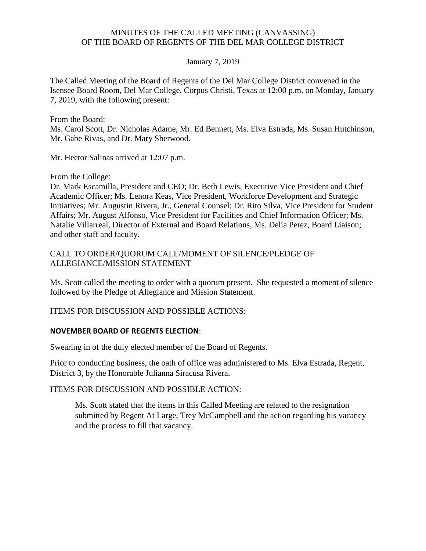## MINUTES OF THE CALLED MEETING (CANVASSING) OF THE BOARD OF REGENTS OF THE DEL MAR COLLEGE DISTRICT

## January 7, 2019

 The Called Meeting of the Board of Regents of the Del Mar College District convened in the Isensee Board Room, Del Mar College, Corpus Christi, Texas at 12:00 p.m. on Monday, January 7, 2019, with the following present:

From the Board:

Ms. Carol Scott, Dr. Nicholas Adame, Mr. Ed Bennett, Ms. Elva Estrada, Ms. Susan Hutchinson, Mr. Gabe Rivas, and Dr. Mary Sherwood.

Mr. Hector Salinas arrived at 12:07 p.m.

From the College:

and other staff and faculty. Dr. Mark Escamilla, President and CEO; Dr. Beth Lewis, Executive Vice President and Chief Academic Officer; Ms. Lenora Keas, Vice President, Workforce Development and Strategic Initiatives; Mr. Augustin Rivera, Jr., General Counsel; Dr. Rito Silva, Vice President for Student Affairs; Mr. August Alfonso, Vice President for Facilities and Chief Information Officer; Ms. Natalie Villarreal, Director of External and Board Relations, Ms. Delia Perez, Board Liaison;

CALL TO ORDER/QUORUM CALL/MOMENT OF SILENCE/PLEDGE OF ALLEGIANCE/MISSION STATEMENT

Ms. Scott called the meeting to order with a quorum present. She requested a moment of silence followed by the Pledge of Allegiance and Mission Statement.

ITEMS FOR DISCUSSION AND POSSIBLE ACTIONS:

## **NOVEMBER BOARD OF REGENTS ELECTION**:

Swearing in of the duly elected member of the Board of Regents.

Prior to conducting business, the oath of office was administered to Ms. Elva Estrada, Regent, District 3, by the Honorable Julianna Siracusa Rivera.

ITEMS FOR DISCUSSION AND POSSIBLE ACTION:

 submitted by Regent At Large, Trey McCampbell and the action regarding his vacancy Ms. Scott stated that the items in this Called Meeting are related to the resignation and the process to fill that vacancy.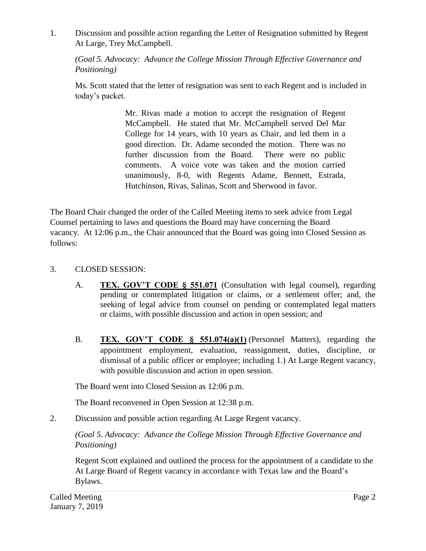1. Discussion and possible action regarding the Letter of Resignation submitted by Regent At Large, Trey McCampbell.

*(Goal 5. Advocacy: Advance the College Mission Through Effective Governance and Positioning)* 

Ms. Scott stated that the letter of resignation was sent to each Regent and is included in today's packet.

> Mr. Rivas made a motion to accept the resignation of Regent McCampbell. He stated that Mr. McCampbell served Del Mar College for 14 years, with 10 years as Chair, and led them in a good direction. Dr. Adame seconded the motion. There was no further discussion from the Board. There were no public comments. A voice vote was taken and the motion carried unanimously, 8-0, with Regents Adame, Bennett, Estrada, Hutchinson, Rivas, Salinas, Scott and Sherwood in favor.

The Board Chair changed the order of the Called Meeting items to seek advice from Legal Counsel pertaining to laws and questions the Board may have concerning the Board vacancy. At 12:06 p.m., the Chair announced that the Board was going into Closed Session as follows:

## 3. CLOSED SESSION:

- A. **TEX. GOV'T CODE § 551.071** (Consultation with legal counsel), regarding pending or contemplated litigation or claims, or a settlement offer; and, the seeking of legal advice from counsel on pending or contemplated legal matters or claims, with possible discussion and action in open session; and
- B. **TEX. GOV'T CODE § 551.074(a)(1)** (Personnel Matters), regarding the appointment employment, evaluation, reassignment, duties, discipline, or dismissal of a public officer or employee; including 1.) At Large Regent vacancy, with possible discussion and action in open session.

The Board went into Closed Session as 12:06 p.m.

The Board reconvened in Open Session at 12:38 p.m.

2. Discussion and possible action regarding At Large Regent vacancy.

*(Goal 5. Advocacy: Advance the College Mission Through Effective Governance and Positioning)* 

Regent Scott explained and outlined the process for the appointment of a candidate to the At Large Board of Regent vacancy in accordance with Texas law and the Board's Bylaws.